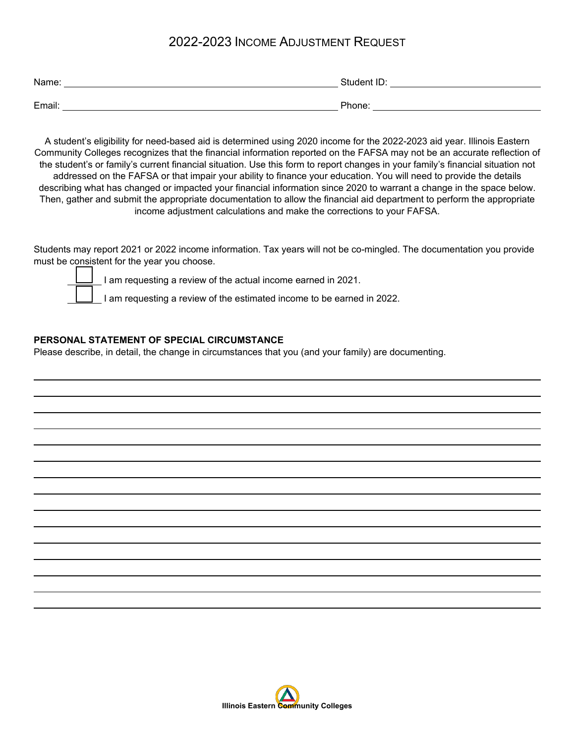## 2022-2023 INCOME ADJUSTMENT REQUEST

| Name:  | Student ID: |
|--------|-------------|
|        |             |
| Email: | Phone:      |

A student's eligibility for need-based aid is determined using 2020 income for the 2022-2023 aid year. Illinois Eastern Community Colleges recognizes that the financial information reported on the FAFSA may not be an accurate reflection of the student's or family's current financial situation. Use this form to report changes in your family's financial situation not addressed on the FAFSA or that impair your ability to finance your education. You will need to provide the details describing what has changed or impacted your financial information since 2020 to warrant a change in the space below. Then, gather and submit the appropriate documentation to allow the financial aid department to perform the appropriate income adjustment calculations and make the corrections to your FAFSA.

Students may report 2021 or 2022 income information. Tax years will not be co-mingled. The documentation you provide must be consistent for the year you choose.



I am requesting a review of the actual income earned in 2021.

I am requesting a review of the estimated income to be earned in 2022.

## **PERSONAL STATEMENT OF SPECIAL CIRCUMSTANCE**

Please describe, in detail, the change in circumstances that you (and your family) are documenting.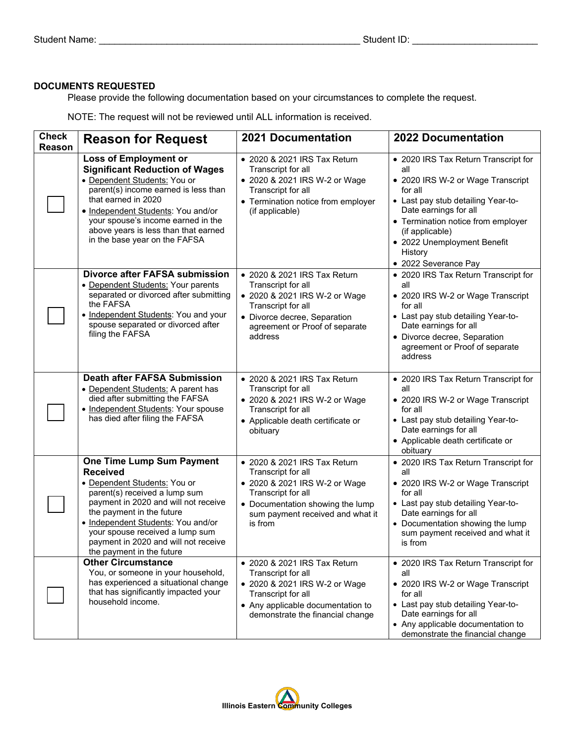## **DOCUMENTS REQUESTED**

Please provide the following documentation based on your circumstances to complete the request.

| <b>Check</b><br>Reason | <b>Reason for Request</b>                                                                                                                                                                                                                                                                                                               | <b>2021 Documentation</b>                                                                                                                                                                    | <b>2022 Documentation</b>                                                                                                                                                                                                                                                             |
|------------------------|-----------------------------------------------------------------------------------------------------------------------------------------------------------------------------------------------------------------------------------------------------------------------------------------------------------------------------------------|----------------------------------------------------------------------------------------------------------------------------------------------------------------------------------------------|---------------------------------------------------------------------------------------------------------------------------------------------------------------------------------------------------------------------------------------------------------------------------------------|
|                        | <b>Loss of Employment or</b><br><b>Significant Reduction of Wages</b><br>• Dependent Students: You or<br>parent(s) income earned is less than<br>that earned in 2020<br>• Independent Students: You and/or<br>your spouse's income earned in the<br>above years is less than that earned<br>in the base year on the FAFSA               | • 2020 & 2021 IRS Tax Return<br>Transcript for all<br>• 2020 & 2021 IRS W-2 or Wage<br>Transcript for all<br>• Termination notice from employer<br>(if applicable)                           | • 2020 IRS Tax Return Transcript for<br>all<br>• 2020 IRS W-2 or Wage Transcript<br>for all<br>• Last pay stub detailing Year-to-<br>Date earnings for all<br>• Termination notice from employer<br>(if applicable)<br>• 2022 Unemployment Benefit<br>History<br>• 2022 Severance Pay |
|                        | <b>Divorce after FAFSA submission</b><br>• Dependent Students: Your parents<br>separated or divorced after submitting<br>the FAFSA<br>• Independent Students: You and your<br>spouse separated or divorced after<br>filing the FAFSA                                                                                                    | • 2020 & 2021 IRS Tax Return<br>Transcript for all<br>• 2020 & 2021 IRS W-2 or Wage<br>Transcript for all<br>• Divorce decree, Separation<br>agreement or Proof of separate<br>address       | • 2020 IRS Tax Return Transcript for<br>all<br>• 2020 IRS W-2 or Wage Transcript<br>for all<br>• Last pay stub detailing Year-to-<br>Date earnings for all<br>• Divorce decree, Separation<br>agreement or Proof of separate<br>address                                               |
|                        | <b>Death after FAFSA Submission</b><br>• Dependent Students: A parent has<br>died after submitting the FAFSA<br>• Independent Students: Your spouse<br>has died after filing the FAFSA                                                                                                                                                  | • 2020 & 2021 IRS Tax Return<br>Transcript for all<br>• 2020 & 2021 IRS W-2 or Wage<br>Transcript for all<br>• Applicable death certificate or<br>obituary                                   | • 2020 IRS Tax Return Transcript for<br>all<br>• 2020 IRS W-2 or Wage Transcript<br>for all<br>• Last pay stub detailing Year-to-<br>Date earnings for all<br>• Applicable death certificate or<br>obituary                                                                           |
|                        | <b>One Time Lump Sum Payment</b><br><b>Received</b><br>· Dependent Students: You or<br>parent(s) received a lump sum<br>payment in 2020 and will not receive<br>the payment in the future<br>• Independent Students: You and/or<br>your spouse received a lump sum<br>payment in 2020 and will not receive<br>the payment in the future | • 2020 & 2021 IRS Tax Return<br>Transcript for all<br>• 2020 & 2021 IRS W-2 or Wage<br>Transcript for all<br>• Documentation showing the lump<br>sum payment received and what it<br>is from | • 2020 IRS Tax Return Transcript for<br>all<br>• 2020 IRS W-2 or Wage Transcript<br>for all<br>• Last pay stub detailing Year-to-<br>Date earnings for all<br>• Documentation showing the lump<br>sum payment received and what it<br>is from                                         |
|                        | <b>Other Circumstance</b><br>You, or someone in your household,<br>has experienced a situational change<br>that has significantly impacted your<br>household income.                                                                                                                                                                    | • 2020 & 2021 IRS Tax Return<br>Transcript for all<br>• 2020 & 2021 IRS W-2 or Wage<br>Transcript for all<br>• Any applicable documentation to<br>demonstrate the financial change           | • 2020 IRS Tax Return Transcript for<br>all<br>• 2020 IRS W-2 or Wage Transcript<br>for all<br>• Last pay stub detailing Year-to-<br>Date earnings for all<br>• Any applicable documentation to<br>demonstrate the financial change                                                   |